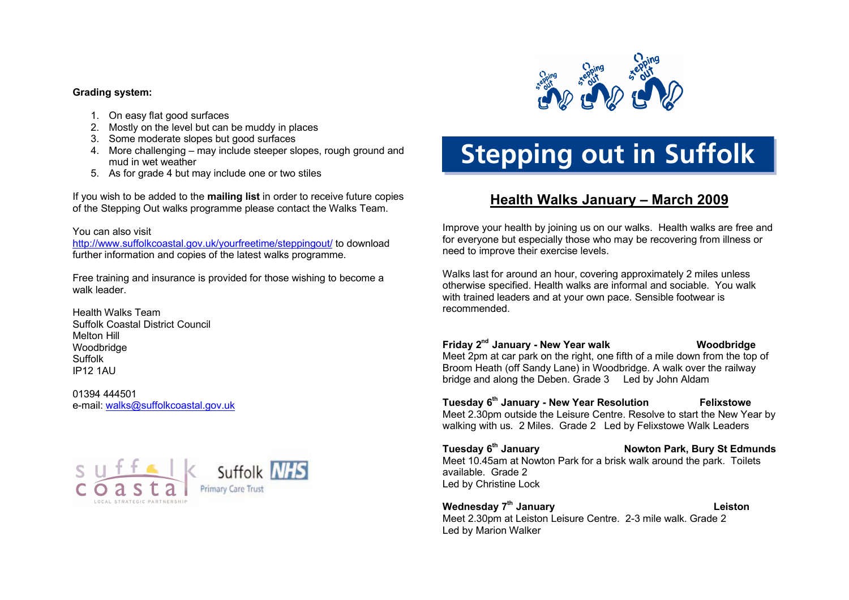### **Grading system:**

- 1. On easy flat good surfaces
- 2. Mostly on the level but can be muddy in places
- 3. Some moderate slopes but good surfaces
- 4. More challenging may include steeper slopes, rough ground and mud in wet weather
- 5. As for grade 4 but may include one or two stiles

If you wish to be added to the **mailing list** in order to receive future copies of the Stepping Out walks programme please contact the Walks Team.

### You can also visit

<http://www.suffolkcoastal.gov.uk/yourfreetime/steppingout/> to download further information and copies of the latest walks programme.

Free training and insurance is provided for those wishing to become a walk leader

Health Walks Team Suffolk Coastal District Council Melton Hill Woodbridge Suffolk IP12 1AU

01394 444501 e-mail: [walks@suffolkcoastal.gov.uk](mailto:walks@suffolkcoastal.gov.uk)





# **Stepping out in Suffolk**

# **Health Walks January – March 2009**

Improve your health by joining us on our walks. Health walks are free and for everyone but especially those who may be recovering from illness or need to improve their exercise levels.

Walks last for around an hour, covering approximately 2 miles unless otherwise specified. Health walks are informal and sociable. You walk with trained leaders and at your own pace. Sensible footwear is recommended.

**Friday 2 nd January - New Year walk Woodbridge** Meet 2pm at car park on the right, one fifth of a mile down from the top of

Broom Heath (off Sandy Lane) in Woodbridge. A walk over the railway bridge and along the Deben. Grade 3 Led by John Aldam

### **Tuesday 6 th January - New Year Resolution Felixstowe**  Meet 2.30pm outside the Leisure Centre. Resolve to start the New Year by

walking with us. 2 Miles. Grade 2 Led by Felixstowe Walk Leaders

**Tuesday 6 Nowton Park, Bury St Edmunds** Meet 10.45am at Nowton Park for a brisk walk around the park. Toilets available. Grade 2 Led by Christine Lock

**Wednesday 7 th January Leiston** Meet 2.30pm at Leiston Leisure Centre. 2-3 mile walk. Grade 2 Led by Marion Walker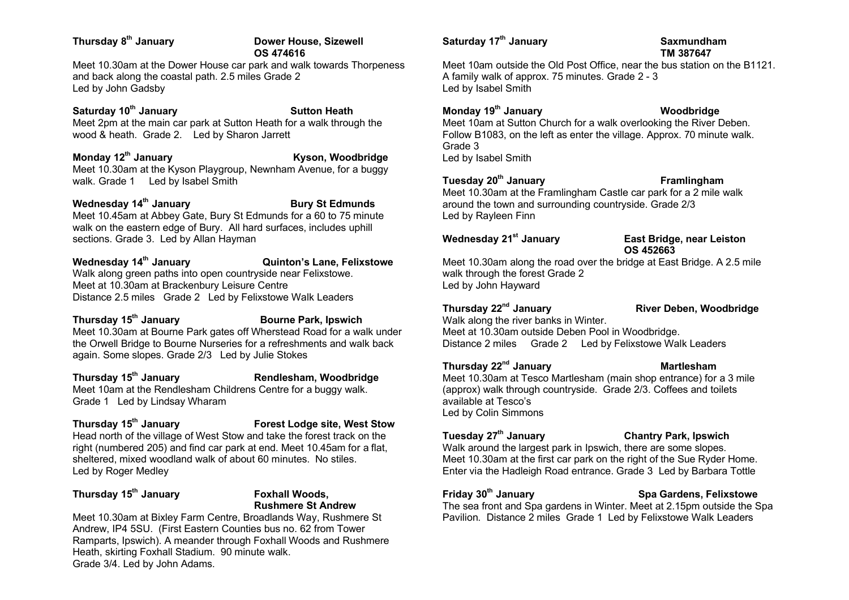### **Thursday 8**

### **Dower House, Sizewell OS 474616**

Meet 10.30am at the Dower House car park and walk towards Thorpeness and back along the coastal path. 2.5 miles Grade 2 Led by John Gadsby

### **Saturday 10<sup>th</sup> January Sutton Heath** Meet 2pm at the main car park at Sutton Heath for a walk through the wood & heath. Grade 2. Led by Sharon Jarrett

**Monday 12<sup>th</sup> January Monday 12<sup>th</sup> January Kyson, Woodbridge** Meet 10.30am at the Kyson Playgroup, Newnham Avenue, for a buggy walk. Grade 1 Led by Isabel Smith

### **Wednesday 14<sup>th</sup> January Bury St Edmunds**

Meet 10.45am at Abbey Gate, Bury St Edmunds for a 60 to 75 minute walk on the eastern edge of Bury. All hard surfaces, includes uphill sections. Grade 3. Led by Allan Hayman

**Wednesday 14th January Quinton's Lane, Felixstowe**  Walk along green paths into open countryside near Felixstowe. Meet at 10.30am at Brackenbury Leisure Centre Distance 2.5 miles Grade 2 Led by Felixstowe Walk Leaders

**Thursday 15th January Bourne Park, Ipswich** Meet 10.30am at Bourne Park gates off Wherstead Road for a walk under the Orwell Bridge to Bourne Nurseries for a refreshments and walk back again. Some slopes. Grade 2/3 Led by Julie Stokes

**Thursday 15th January Rendlesham, Woodbridge** Meet 10am at the Rendlesham Childrens Centre for a buggy walk. Grade 1 Led by Lindsay Wharam

### **Thursday 15th January Forest Lodge site, West Stow** Head north of the village of West Stow and take the forest track on the right (numbered 205) and find car park at end. Meet 10.45am for a flat, sheltered, mixed woodland walk of about 60 minutes. No stiles. Led by Roger Medley

### **Thursday 15th January Foxhall Woods,**

# **Rushmere St Andrew**

Meet 10.30am at Bixley Farm Centre, Broadlands Way, Rushmere St Andrew, IP4 5SU. (First Eastern Counties bus no. 62 from Tower Ramparts, Ipswich). A meander through Foxhall Woods and Rushmere Heath, skirting Foxhall Stadium. 90 minute walk. Grade 3/4. Led by John Adams.

### **Saturday 17th January Saxmundham**

# **TM 387647**

Meet 10am outside the Old Post Office, near the bus station on the B1121. A family walk of approx. 75 minutes. Grade 2 - 3 Led by Isabel Smith

### **Monday 19th January Woodbridge**

Meet 10am at Sutton Church for a walk overlooking the River Deben. Follow B1083, on the left as enter the village. Approx. 70 minute walk. Grade 3

Led by Isabel Smith

### **Tuesday 20th January Framlingham**

Meet 10.30am at the Framlingham Castle car park for a 2 mile walk around the town and surrounding countryside. Grade 2/3 Led by Rayleen Finn

### **Wednesday 21st January East Bridge, near Leiston OS 452663**

Meet 10.30am along the road over the bridge at East Bridge. A 2.5 mile walk through the forest Grade 2 Led by John Hayward

### **Thursday 22nd January River Deben, Woodbridge**

Walk along the river banks in Winter. Meet at 10.30am outside Deben Pool in Woodbridge. Distance 2 miles Grade 2 Led by Felixstowe Walk Leaders

### **Thursday 22nd January Martlesham**

Meet 10.30am at Tesco Martlesham (main shop entrance) for a 3 mile (approx) walk through countryside. Grade 2/3. Coffees and toilets available at Tesco's Led by Colin Simmons

### **Tuesday 27th January Chantry Park, Ipswich**

Walk around the largest park in Ipswich, there are some slopes. Meet 10.30am at the first car park on the right of the Sue Ryder Home. Enter via the Hadleigh Road entrance. Grade 3 Led by Barbara Tottle

### **Friday 30th January Spa Gardens, Felixstowe**

The sea front and Spa gardens in Winter. Meet at 2.15pm outside the Spa Pavilion. Distance 2 miles Grade 1 Led by Felixstowe Walk Leaders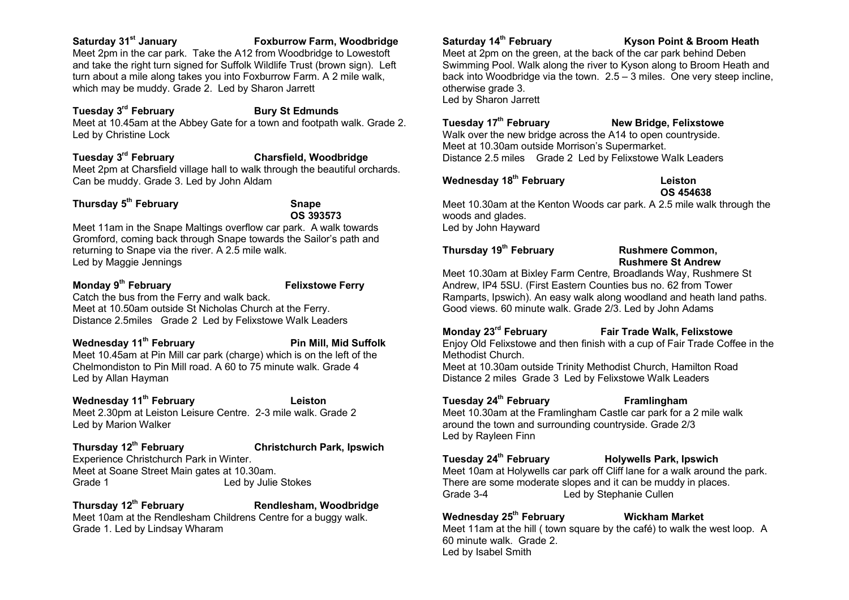### **Saturday 31st January Foxburrow Farm, Woodbridge**

Meet 2pm in the car park. Take the A12 from Woodbridge to Lowestoft and take the right turn signed for Suffolk Wildlife Trust (brown sign). Left turn about a mile along takes you into Foxburrow Farm. A 2 mile walk, which may be muddy. Grade 2. Led by Sharon Jarrett

### **Tuesday 3 Bury St Edmunds** Meet at 10.45am at the Abbey Gate for a town and footpath walk. Grade 2. Led by Christine Lock

### **Tuesday 3 Charsfield, Woodbridge**

Meet 2pm at Charsfield village hall to walk through the beautiful orchards. Can be muddy. Grade 3. Led by John Aldam

### **Thursday 5 th February Snape**

**OS 393573**

Meet 11am in the Snape Maltings overflow car park. A walk towards Gromford, coming back through Snape towards the Sailor's path and returning to Snape via the river. A 2.5 mile walk. Led by Maggie Jennings

### **Monday 9**

Led by Allan Hayman

**Felixstowe Ferry** 

Catch the bus from the Ferry and walk back. Meet at 10.50am outside St Nicholas Church at the Ferry. Distance 2.5miles Grade 2 Led by Felixstowe Walk Leaders

### **Wednesday 11th February Pin Mill, Mid Suffolk** Meet 10.45am at Pin Mill car park (charge) which is on the left of the Chelmondiston to Pin Mill road. A 60 to 75 minute walk. Grade 4

**Wednesday 11th February Leiston**

Meet 2.30pm at Leiston Leisure Centre. 2-3 mile walk. Grade 2 Led by Marion Walker

## **Thursday 12th February Christchurch Park, Ipswich**

Experience Christchurch Park in Winter. Meet at Soane Street Main gates at 10.30am. Grade 1 **Led by Julie Stokes** 

### **Thursday 12th February Rendlesham, Woodbridge**

Meet 10am at the Rendlesham Childrens Centre for a buggy walk. Grade 1. Led by Lindsay Wharam

**Saturday 14th February Kyson Point & Broom Heath**

Meet at 2pm on the green, at the back of the car park behind Deben Swimming Pool. Walk along the river to Kyson along to Broom Heath and back into Woodbridge via the town. 2.5 – 3 miles. One very steep incline, otherwise grade 3. Led by Sharon Jarrett

### **Tuesday 17<sup>th</sup> February <b>New Bridge, Felixstowe**

Walk over the new bridge across the A14 to open countryside. Meet at 10.30am outside Morrison's Supermarket. Distance 2.5 miles Grade 2 Led by Felixstowe Walk Leaders

### **Wednesday 18th February Leiston**

# **OS 454638**

Meet 10.30am at the Kenton Woods car park. A 2.5 mile walk through the woods and glades. Led by John Hayward

### **Thursday 19th February Rushmere Common,**

# **Rushmere St Andrew**

Meet 10.30am at Bixley Farm Centre, Broadlands Way, Rushmere St Andrew, IP4 5SU. (First Eastern Counties bus no. 62 from Tower Ramparts, Ipswich). An easy walk along woodland and heath land paths. Good views. 60 minute walk. Grade 2/3. Led by John Adams

### **Monday 23rd February Fair Trade Walk, Felixstowe**

Enjoy Old Felixstowe and then finish with a cup of Fair Trade Coffee in the Methodist Church.

Meet at 10.30am outside Trinity Methodist Church, Hamilton Road Distance 2 miles Grade 3 Led by Felixstowe Walk Leaders

### **Tuesday 24th February Framlingham**

Meet 10.30am at the Framlingham Castle car park for a 2 mile walk around the town and surrounding countryside. Grade 2/3 Led by Rayleen Finn

### **Tuesday 24th February Holywells Park, Ipswich**

Meet 10am at Holywells car park off Cliff lane for a walk around the park. There are some moderate slopes and it can be muddy in places. Grade 3-4 Led by Stephanie Cullen

### **Wednesday 25th February Wickham Market**

Meet 11am at the hill ( town square by the café) to walk the west loop. A 60 minute walk. Grade 2. Led by Isabel Smith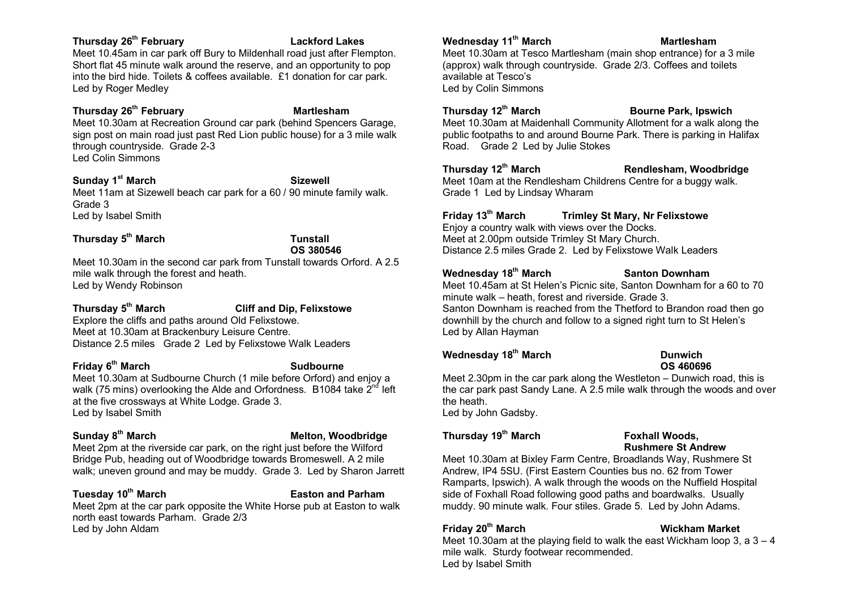### **Thursday 26th February Lackford Lakes**

Meet 10.45am in car park off Bury to Mildenhall road just after Flempton. Short flat 45 minute walk around the reserve, and an opportunity to pop into the bird hide. Toilets & coffees available. É1 donation for car park. Led by Roger Medley

### **Thursday 26<sup>th</sup> February Martlesham**

Meet 10.30am at Recreation Ground car park (behind Spencers Garage, sign post on main road just past Red Lion public house) for a 3 mile walk through countryside. Grade 2-3 Led Colin Simmons

### **Sunday 1 st March Sizewell**

Meet 11am at Sizewell beach car park for a 60 / 90 minute family walk. Grade 3 Led by Isabel Smith

### **Thursday 5 th March Tunstall**

### **OS 380546**

Meet 10.30am in the second car park from Tunstall towards Orford. A 2.5 mile walk through the forest and heath. Led by Wendy Robinson

### **Thursday 5 Cliff and Dip, Felixstowe**

Explore the cliffs and paths around Old Felixstowe. Meet at 10.30am at Brackenbury Leisure Centre. Distance 2.5 miles Grade 2 Led by Felixstowe Walk Leaders

### **Friday 6**

### **Sudbourne**

Meet 10.30am at Sudbourne Church (1 mile before Orford) and enjoy a walk (75 mins) overlooking the Alde and Orfordness. B1084 take 2<sup>nd</sup> left at the five crossways at White Lodge. Grade 3. Led by Isabel Smith

### Sunday 8<sup>th</sup> March

### **Melton, Woodbridge**

Meet 2pm at the riverside car park, on the right just before the Wilford Bridge Pub, heading out of Woodbridge towards Bromeswell. A 2 mile walk; uneven ground and may be muddy. Grade 3. Led by Sharon Jarrett

### **Tuesday 10th March Easton and Parham**

Meet 2pm at the car park opposite the White Horse pub at Easton to walk north east towards Parham. Grade 2/3 Led by John Aldam

### **Wednesday 11th March Martlesham**

Meet 10.30am at Tesco Martlesham (main shop entrance) for a 3 mile (approx) walk through countryside. Grade 2/3. Coffees and toilets available at Tesco's Led by Colin Simmons

**Thursday 12th March Bourne Park, Ipswich**

Meet 10.30am at Maidenhall Community Allotment for a walk along the public footpaths to and around Bourne Park. There is parking in Halifax Road. Grade 2 Led by Julie Stokes

### **Thursday 12th March Rendlesham, Woodbridge**

Meet 10am at the Rendlesham Childrens Centre for a buggy walk. Grade 1 Led by Lindsay Wharam

### **Friday 13th March Trimley St Mary, Nr Felixstowe**

Enjoy a country walk with views over the Docks. Meet at 2.00pm outside Trimley St Mary Church. Distance 2.5 miles Grade 2. Led by Felixstowe Walk Leaders

### **Wednesday 18th March Santon Downham**

Meet 10.45am at St Helen's Picnic site, Santon Downham for a 60 to 70 minute walk – heath, forest and riverside. Grade 3. Santon Downham is reached from the Thetford to Brandon road then go downhill by the church and follow to a signed right turn to St Helen's Led by Allan Hayman

### **Wednesday 18th March Dunwich**

# **OS 460696**

Meet 2.30pm in the car park along the Westleton – Dunwich road, this is the car park past Sandy Lane. A 2.5 mile walk through the woods and over the heath.

Led by John Gadsby.

### **Thursday 19th March Foxhall Woods,**

# **Rushmere St Andrew**

Meet 10.30am at Bixley Farm Centre, Broadlands Way, Rushmere St Andrew, IP4 5SU. (First Eastern Counties bus no. 62 from Tower Ramparts, Ipswich). A walk through the woods on the Nuffield Hospital side of Foxhall Road following good paths and boardwalks. Usually muddy. 90 minute walk. Four stiles. Grade 5. Led by John Adams.

### **Friday 20th March Wickham Market**

Meet 10.30am at the playing field to walk the east Wickham loop 3, a 3 – 4 mile walk. Sturdy footwear recommended. Led by Isabel Smith